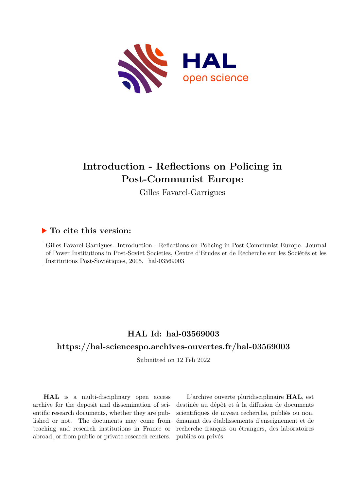

## **Introduction - Reflections on Policing in Post-Communist Europe**

Gilles Favarel-Garrigues

### **To cite this version:**

Gilles Favarel-Garrigues. Introduction - Reflections on Policing in Post-Communist Europe. Journal of Power Institutions in Post-Soviet Societies, Centre d'Etudes et de Recherche sur les Sociétés et les Institutions Post-Soviétiques, 2005. hal-03569003

### **HAL Id: hal-03569003**

### **<https://hal-sciencespo.archives-ouvertes.fr/hal-03569003>**

Submitted on 12 Feb 2022

**HAL** is a multi-disciplinary open access archive for the deposit and dissemination of scientific research documents, whether they are published or not. The documents may come from teaching and research institutions in France or abroad, or from public or private research centers.

L'archive ouverte pluridisciplinaire **HAL**, est destinée au dépôt et à la diffusion de documents scientifiques de niveau recherche, publiés ou non, émanant des établissements d'enseignement et de recherche français ou étrangers, des laboratoires publics ou privés.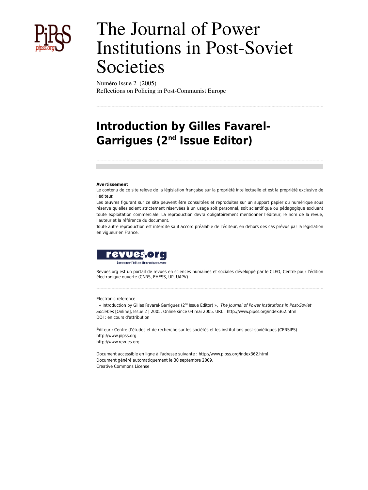

# The Journal of Power Institutions in Post-Soviet Societies

Numéro Issue 2 (2005) Reflections on Policing in Post-Communist Europe

## **Introduction by Gilles Favarel-Garrigues (2nd Issue Editor)**

#### **Avertissement**

Le contenu de ce site relève de la législation française sur la propriété intellectuelle et est la propriété exclusive de l'éditeur.

Les œuvres figurant sur ce site peuvent être consultées et reproduites sur un support papier ou numérique sous réserve qu'elles soient strictement réservées à un usage soit personnel, soit scientifique ou pédagogique excluant toute exploitation commerciale. La reproduction devra obligatoirement mentionner l'éditeur, le nom de la revue, l'auteur et la référence du document.

Toute autre reproduction est interdite sauf accord préalable de l'éditeur, en dehors des cas prévus par la législation en vigueur en France.



Revues.org est un portail de revues en sciences humaines et sociales développé par le CLEO, Centre pour l'édition électronique ouverte (CNRS, EHESS, UP, UAPV).

#### Electronic reference

, « Introduction by Gilles Favarel-Garrigues (2nd Issue Editor) », *The Journal of Power Institutions in Post-Soviet Societies* [Online], Issue 2 | 2005, Online since 04 mai 2005. URL : http://www.pipss.org/index362.html DOI : en cours d'attribution

Éditeur : Centre d'études et de recherche sur les sociétés et les institutions post-soviétiques (CERSIPS) <http://www.pipss.org> [http://www.revues.org](http://www.revues.org/)

Document accessible en ligne à l'adresse suivante :<http://www.pipss.org/index362.html> Document généré automatiquement le 30 septembre 2009. Creative Commons License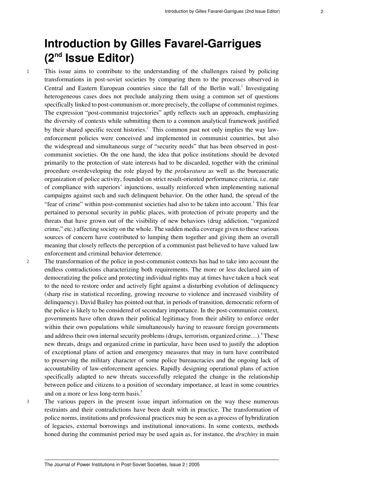## **Introduction by Gilles Favarel-Garrigues (2nd Issue Editor)**

<sup>1</sup> This issue aims to contribute to the understanding of the challenges raised by policing transformations in post-soviet societies by comparing them to the processes observed in Central and Eastern European countries since the fall of the Berlin wall.<sup>1</sup> Investigating heterogeneous cases does not preclude analyzing them using a common set of questions specifically linked to post-communism or, more precisely, the collapse of communist regimes. The expression "post-communist trajectories" aptly reflects such an approach, emphasizing the diversity of contexts while submitting them to a common analytical framework justified by their shared specific recent histories.<sup>2</sup> This common past not only implies the way lawenforcement policies were conceived and implemented in communist countries, but also the widespread and simultaneous surge of "security needs" that has been observed in postcommunist societies. On the one hand, the idea that police institutions should be devoted primarily to the protection of state interests had to be discarded, together with the criminal procedure overdeveloping the role played by the *prokuratura* as well as the bureaucratic organization of police activity, founded on strict result-oriented performance criteria, i.e. rate of compliance with superiors' injunctions, usually reinforced when implementing national campaigns against such and such delinquent behavior. On the other hand, the spread of the "fear of crime" within post-communist societies had also to be taken into account.<sup>3</sup> This fear pertained to personal security in public places, with protection of private property and the threats that have grown out of the visibility of new behaviors (drug addiction, "organized crime," etc.) affecting society on the whole. The sudden media coverage given to these various sources of concern have contributed to lumping them together and giving them an overall meaning that closely reflects the perception of a communist past believed to have valued law enforcement and criminal behavior deterrence.

<sup>2</sup> The transformation of the police in post-communist contexts has had to take into account the endless contradictions characterizing both requirements. The more or less declared aim of democratizing the police and protecting individual rights may at times have taken a back seat to the need to restore order and actively fight against a disturbing evolution of delinquency (sharp rise in statistical recording, growing recourse to violence and increased visibility of delinquency). David Bailey has pointed out that, in periods of transition, democratic reform of the police is likely to be considered of secondary importance. In the post-communist context, governments have often drawn their political legitimacy from their ability to enforce order within their own populations while simultaneously having to reassure foreign governments and address their own internal security problems (drugs, terrorism, organized crime...).<sup>4</sup> These new threats, drugs and organized crime in particular, have been used to justify the adoption of exceptional plans of action and emergency measures that may in turn have contributed to preserving the military character of some police bureaucracies and the ongoing lack of accountability of law-enforcement agencies. Rapidly designing operational plans of action specifically adapted to new threats successfully relegated the change in the relationship between police and citizens to a position of secondary importance, at least in some countries and on a more or less long-term basis.<sup>5</sup>

<sup>3</sup> The various papers in the present issue impart information on the way these numerous restraints and their contradictions have been dealt with in practice. The transformation of police norms, institutions and professional practices may be seen as a process of hybridization of legacies, external borrowings and institutional innovations. In some contexts, methods honed during the communist period may be used again as, for instance, the *druzhiny* in main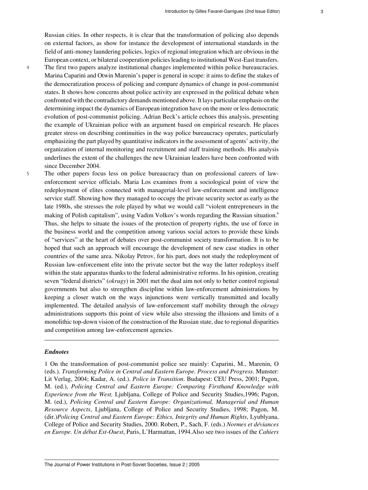Russian cities. In other respects, it is clear that the transformation of policing also depends on external factors, as show for instance the development of international standards in the field of anti-money laundering policies, logics of regional integration which are obvious in the European context, or bilateral cooperation policies leading to institutional West-East transfers. <sup>4</sup> The first two papers analyze institutional changes implemented within police bureaucracies. Marina Caparini and Otwin Marenin's paper is general in scope: it aims to define the stakes of the democratization process of policing and compare dynamics of change in post-communist states. It shows how concerns about police activity are expressed in the political debate when confronted with the contradictory demands mentioned above. It lays particular emphasis on the determining impact the dynamics of European integration have on the more or less democratic evolution of post-communist policing. Adrian Beck's article echoes this analysis, presenting the example of Ukrainian police with an argument based on empirical research. He places greater stress on describing continuities in the way police bureaucracy operates, particularly emphasizing the part played by quantitative indicators in the assessment of agents' activity, the organization of internal monitoring and recruitment and staff training methods. His analysis underlines the extent of the challenges the new Ukrainian leaders have been confronted with since December 2004.

<sup>5</sup> The other papers focus less on police bureaucracy than on professional careers of lawenforcement service officials. Maria Los examines from a sociological point of view the redeployment of elites connected with managerial-level law-enforcement and intelligence service staff. Showing how they managed to occupy the private security sector as early as the late 1980s, she stresses the role played by what we would call "violent entrepreneurs in the making of Polish capitalism", using Vadim Volkov's words regarding the Russian situation.<sup>6</sup> Thus, she helps to situate the issues of the protection of property rights, the use of force in the business world and the competition among various social actors to provide these kinds of "services" at the heart of debates over post-communist society transformation. It is to be hoped that such an approach will encourage the development of new case studies in other countries of the same area. Nikolay Petrov, for his part, does not study the redeployment of Russian law-enforcement elite into the private sector but the way the latter redeploys itself within the state apparatus thanks to the federal administrative reforms. In his opinion, creating seven "federal districts" (*okrugy*) in 2001 met the dual aim not only to better control regional governments but also to strengthen discipline within law-enforcement administrations by keeping a closer watch on the ways injunctions were vertically transmitted and locally implemented. The detailed analysis of law-enforcement staff mobility through the *okrugy* administrations supports this point of view while also stressing the illusions and limits of a monolithic top-down vision of the construction of the Russian state, due to regional disparities and competition among law-enforcement agencies.

#### *Endnotes*

1 On the transformation of post-communist police see mainly: Caparini, M., Marenin, O (eds.). *Transforming Police in Central and Eastern Europe. Process and Progress*. Munster: Lit Verlag, 2004; Kadar, A. (ed.). *Police in Transition*. Budapest: CEU Press, 2001; Pagon, M. (ed.), *Policing Central and Eastern Europe: Comparing Firsthand Knowledge with Experience from the West,* Ljubljana, College of Police and Security Studies,1996; Pagon, M. (ed.), *Policing Central and Eastern Europe: Organizational, Managerial and Human Resource Aspects*, Ljubljana, College of Police and Security Studies, 1998; Pagon, M. (dir.)*Policing Central and Eastern Europe: Ethics, Integrity and Human Rights*, Lyublyana, College of Police and Security Studies, 2000. Robert, P., Sach, F. (eds.) *Normes et déviances en Europe. Un débat Est-Ouest*, Paris, L'Harmattan, 1994.Also see two issues of the *Cahiers*